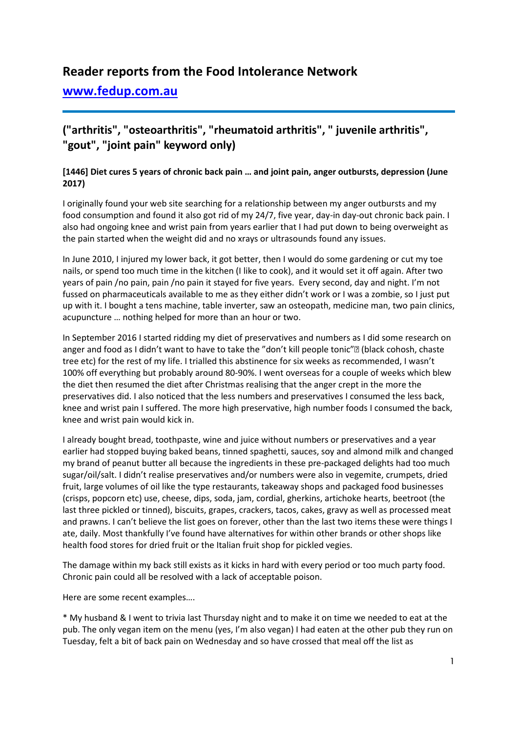# **Reader reports from the Food Intolerance Network**

# **[www.fedup.com.au](http://www.fedup.com.au/)**

# **("arthritis", "osteoarthritis", "rheumatoid arthritis", " juvenile arthritis", "gout", "joint pain" keyword only)**

## **[1446] Diet cures 5 years of chronic back pain … and joint pain, anger outbursts, depression (June 2017)**

I originally found your web site searching for a relationship between my anger outbursts and my food consumption and found it also got rid of my 24/7, five year, day-in day-out chronic back pain. I also had ongoing knee and wrist pain from years earlier that I had put down to being overweight as the pain started when the weight did and no xrays or ultrasounds found any issues.

In June 2010, I injured my lower back, it got better, then I would do some gardening or cut my toe nails, or spend too much time in the kitchen (I like to cook), and it would set it off again. After two years of pain /no pain, pain /no pain it stayed for five years. Every second, day and night. I'm not fussed on pharmaceuticals available to me as they either didn't work or I was a zombie, so I just put up with it. I bought a tens machine, table inverter, saw an osteopath, medicine man, two pain clinics, acupuncture … nothing helped for more than an hour or two.

In September 2016 I started ridding my diet of preservatives and numbers as I did some research on anger and food as I didn't want to have to take the "don't kill people tonic"<sup>[2]</sup> (black cohosh, chaste tree etc) for the rest of my life. I trialled this abstinence for six weeks as recommended, I wasn't 100% off everything but probably around 80-90%. I went overseas for a couple of weeks which blew the diet then resumed the diet after Christmas realising that the anger crept in the more the preservatives did. I also noticed that the less numbers and preservatives I consumed the less back, knee and wrist pain I suffered. The more high preservative, high number foods I consumed the back, knee and wrist pain would kick in.

I already bought bread, toothpaste, wine and juice without numbers or preservatives and a year earlier had stopped buying baked beans, tinned spaghetti, sauces, soy and almond milk and changed my brand of peanut butter all because the ingredients in these pre-packaged delights had too much sugar/oil/salt. I didn't realise preservatives and/or numbers were also in vegemite, crumpets, dried fruit, large volumes of oil like the type restaurants, takeaway shops and packaged food businesses (crisps, popcorn etc) use, cheese, dips, soda, jam, cordial, gherkins, artichoke hearts, beetroot (the last three pickled or tinned), biscuits, grapes, crackers, tacos, cakes, gravy as well as processed meat and prawns. I can't believe the list goes on forever, other than the last two items these were things I ate, daily. Most thankfully I've found have alternatives for within other brands or other shops like health food stores for dried fruit or the Italian fruit shop for pickled vegies.

The damage within my back still exists as it kicks in hard with every period or too much party food. Chronic pain could all be resolved with a lack of acceptable poison.

Here are some recent examples….

\* My husband & I went to trivia last Thursday night and to make it on time we needed to eat at the pub. The only vegan item on the menu (yes, I'm also vegan) I had eaten at the other pub they run on Tuesday, felt a bit of back pain on Wednesday and so have crossed that meal off the list as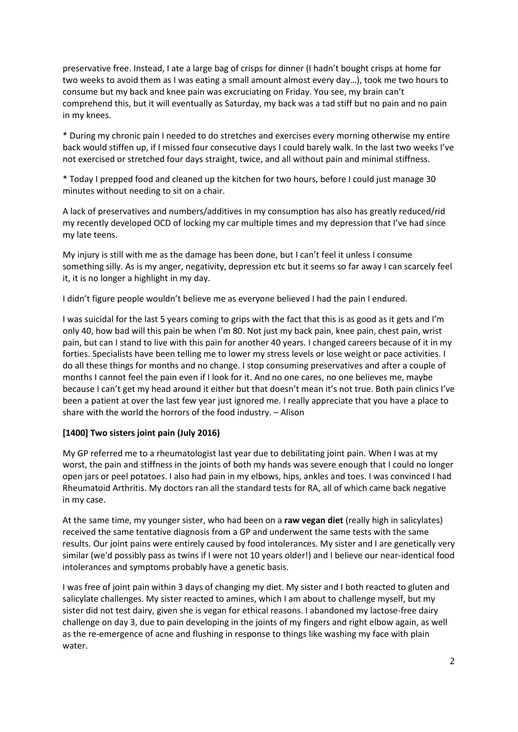preservative free. Instead, I ate a large bag of crisps for dinner (I hadn't bought crisps at home for two weeks to avoid them as I was eating a small amount almost every day…), took me two hours to consume but my back and knee pain was excruciating on Friday. You see, my brain can't comprehend this, but it will eventually as Saturday, my back was a tad stiff but no pain and no pain in my knees.

\* During my chronic pain I needed to do stretches and exercises every morning otherwise my entire back would stiffen up, if I missed four consecutive days I could barely walk. In the last two weeks I've not exercised or stretched four days straight, twice, and all without pain and minimal stiffness.

\* Today I prepped food and cleaned up the kitchen for two hours, before I could just manage 30 minutes without needing to sit on a chair.

A lack of preservatives and numbers/additives in my consumption has also has greatly reduced/rid my recently developed OCD of locking my car multiple times and my depression that I've had since my late teens.

My injury is still with me as the damage has been done, but I can't feel it unless I consume something silly. As is my anger, negativity, depression etc but it seems so far away I can scarcely feel it, it is no longer a highlight in my day.

I didn't figure people wouldn't believe me as everyone believed I had the pain I endured.

I was suicidal for the last 5 years coming to grips with the fact that this is as good as it gets and I'm only 40, how bad will this pain be when I'm 80. Not just my back pain, knee pain, chest pain, wrist pain, but can I stand to live with this pain for another 40 years. I changed careers because of it in my forties. Specialists have been telling me to lower my stress levels or lose weight or pace activities. I do all these things for months and no change. I stop consuming preservatives and after a couple of months I cannot feel the pain even if I look for it. And no one cares, no one believes me, maybe because I can't get my head around it either but that doesn't mean it's not true. Both pain clinics I've been a patient at over the last few year just ignored me. I really appreciate that you have a place to share with the world the horrors of the food industry. – Alison

## **[1400] Two sisters joint pain (July 2016)**

My GP referred me to a rheumatologist last year due to debilitating joint pain. When I was at my worst, the pain and stiffness in the joints of both my hands was severe enough that I could no longer open jars or peel potatoes. I also had pain in my elbows, hips, ankles and toes. I was convinced I had Rheumatoid Arthritis. My doctors ran all the standard tests for RA, all of which came back negative in my case.

At the same time, my younger sister, who had been on a **raw vegan diet** (really high in salicylates) received the same tentative diagnosis from a GP and underwent the same tests with the same results. Our joint pains were entirely caused by food intolerances. My sister and I are genetically very similar (we'd possibly pass as twins if I were not 10 years older!) and I believe our near-identical food intolerances and symptoms probably have a genetic basis.

I was free of joint pain within 3 days of changing my diet. My sister and I both reacted to gluten and salicylate challenges. My sister reacted to amines, which I am about to challenge myself, but my sister did not test dairy, given she is vegan for ethical reasons. I abandoned my lactose-free dairy challenge on day 3, due to pain developing in the joints of my fingers and right elbow again, as well as the re-emergence of acne and flushing in response to things like washing my face with plain water.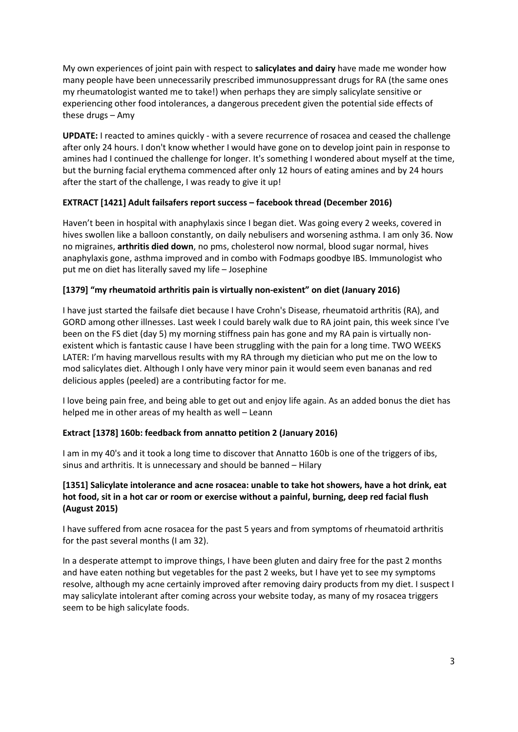My own experiences of joint pain with respect to **salicylates and dairy** have made me wonder how many people have been unnecessarily prescribed immunosuppressant drugs for RA (the same ones my rheumatologist wanted me to take!) when perhaps they are simply salicylate sensitive or experiencing other food intolerances, a dangerous precedent given the potential side effects of these drugs – Amy

**UPDATE:** I reacted to amines quickly - with a severe recurrence of rosacea and ceased the challenge after only 24 hours. I don't know whether I would have gone on to develop joint pain in response to amines had I continued the challenge for longer. It's something I wondered about myself at the time, but the burning facial erythema commenced after only 12 hours of eating amines and by 24 hours after the start of the challenge, I was ready to give it up!

## **EXTRACT [1421] Adult failsafers report success – facebook thread (December 2016)**

Haven't been in hospital with anaphylaxis since I began diet. Was going every 2 weeks, covered in hives swollen like a balloon constantly, on daily nebulisers and worsening asthma. I am only 36. Now no migraines, **arthritis died down**, no pms, cholesterol now normal, blood sugar normal, hives anaphylaxis gone, asthma improved and in combo with Fodmaps goodbye IBS. Immunologist who put me on diet has literally saved my life – Josephine

# **[1379] "my rheumatoid arthritis pain is virtually non-existent" on diet (January 2016)**

I have just started the failsafe diet because I have Crohn's Disease, rheumatoid arthritis (RA), and GORD among other illnesses. Last week I could barely walk due to RA joint pain, this week since I've been on the FS diet (day 5) my morning stiffness pain has gone and my RA pain is virtually nonexistent which is fantastic cause I have been struggling with the pain for a long time. TWO WEEKS LATER: I'm having marvellous results with my RA through my dietician who put me on the low to mod salicylates diet. Although I only have very minor pain it would seem even bananas and red delicious apples (peeled) are a contributing factor for me.

I love being pain free, and being able to get out and enjoy life again. As an added bonus the diet has helped me in other areas of my health as well – Leann

## **Extract [1378] 160b: feedback from annatto petition 2 (January 2016)**

I am in my 40's and it took a long time to discover that Annatto 160b is one of the triggers of ibs, sinus and arthritis. It is unnecessary and should be banned – Hilary

## **[1351] Salicylate intolerance and acne rosacea: unable to take hot showers, have a hot drink, eat hot food, sit in a hot car or room or exercise without a painful, burning, deep red facial flush (August 2015)**

I have suffered from acne rosacea for the past 5 years and from symptoms of rheumatoid arthritis for the past several months (I am 32).

In a desperate attempt to improve things, I have been gluten and dairy free for the past 2 months and have eaten nothing but vegetables for the past 2 weeks, but I have yet to see my symptoms resolve, although my acne certainly improved after removing dairy products from my diet. I suspect I may salicylate intolerant after coming across your website today, as many of my rosacea triggers seem to be high salicylate foods.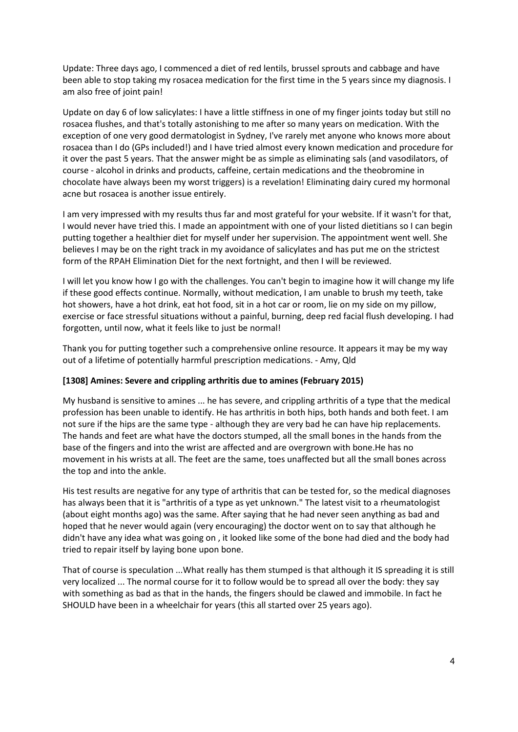Update: Three days ago, I commenced a diet of red lentils, brussel sprouts and cabbage and have been able to stop taking my rosacea medication for the first time in the 5 years since my diagnosis. I am also free of joint pain!

Update on day 6 of low salicylates: I have a little stiffness in one of my finger joints today but still no rosacea flushes, and that's totally astonishing to me after so many years on medication. With the exception of one very good dermatologist in Sydney, I've rarely met anyone who knows more about rosacea than I do (GPs included!) and I have tried almost every known medication and procedure for it over the past 5 years. That the answer might be as simple as eliminating sals (and vasodilators, of course - alcohol in drinks and products, caffeine, certain medications and the theobromine in chocolate have always been my worst triggers) is a revelation! Eliminating dairy cured my hormonal acne but rosacea is another issue entirely.

I am very impressed with my results thus far and most grateful for your website. If it wasn't for that, I would never have tried this. I made an appointment with one of your listed dietitians so I can begin putting together a healthier diet for myself under her supervision. The appointment went well. She believes I may be on the right track in my avoidance of salicylates and has put me on the strictest form of the RPAH Elimination Diet for the next fortnight, and then I will be reviewed.

I will let you know how I go with the challenges. You can't begin to imagine how it will change my life if these good effects continue. Normally, without medication, I am unable to brush my teeth, take hot showers, have a hot drink, eat hot food, sit in a hot car or room, lie on my side on my pillow, exercise or face stressful situations without a painful, burning, deep red facial flush developing. I had forgotten, until now, what it feels like to just be normal!

Thank you for putting together such a comprehensive online resource. It appears it may be my way out of a lifetime of potentially harmful prescription medications. - Amy, Qld

## **[1308] Amines: Severe and crippling arthritis due to amines (February 2015)**

My husband is sensitive to amines ... he has severe, and crippling arthritis of a type that the medical profession has been unable to identify. He has arthritis in both hips, both hands and both feet. I am not sure if the hips are the same type - although they are very bad he can have hip replacements. The hands and feet are what have the doctors stumped, all the small bones in the hands from the base of the fingers and into the wrist are affected and are overgrown with bone.He has no movement in his wrists at all. The feet are the same, toes unaffected but all the small bones across the top and into the ankle.

His test results are negative for any type of arthritis that can be tested for, so the medical diagnoses has always been that it is "arthritis of a type as yet unknown." The latest visit to a rheumatologist (about eight months ago) was the same. After saying that he had never seen anything as bad and hoped that he never would again (very encouraging) the doctor went on to say that although he didn't have any idea what was going on , it looked like some of the bone had died and the body had tried to repair itself by laying bone upon bone.

That of course is speculation ...What really has them stumped is that although it IS spreading it is still very localized ... The normal course for it to follow would be to spread all over the body: they say with something as bad as that in the hands, the fingers should be clawed and immobile. In fact he SHOULD have been in a wheelchair for years (this all started over 25 years ago).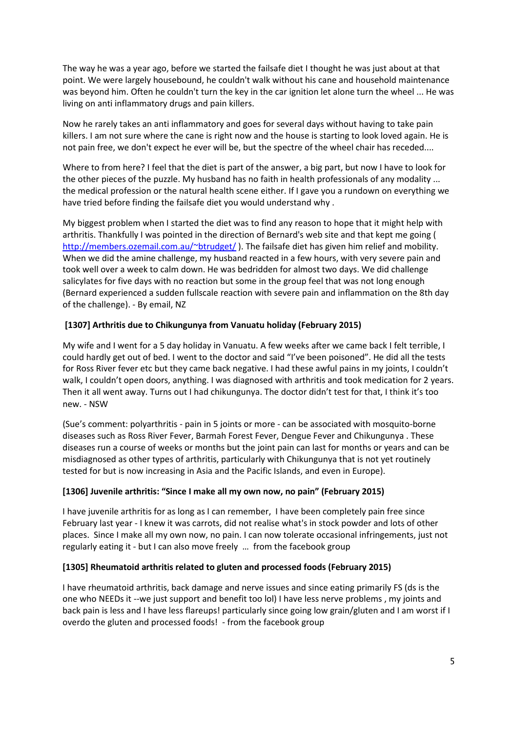The way he was a year ago, before we started the failsafe diet I thought he was just about at that point. We were largely housebound, he couldn't walk without his cane and household maintenance was beyond him. Often he couldn't turn the key in the car ignition let alone turn the wheel ... He was living on anti inflammatory drugs and pain killers.

Now he rarely takes an anti inflammatory and goes for several days without having to take pain killers. I am not sure where the cane is right now and the house is starting to look loved again. He is not pain free, we don't expect he ever will be, but the spectre of the wheel chair has receded....

Where to from here? I feel that the diet is part of the answer, a big part, but now I have to look for the other pieces of the puzzle. My husband has no faith in health professionals of any modality ... the medical profession or the natural health scene either. If I gave you a rundown on everything we have tried before finding the failsafe diet you would understand why .

My biggest problem when I started the diet was to find any reason to hope that it might help with arthritis. Thankfully I was pointed in the direction of Bernard's web site and that kept me going ( <http://members.ozemail.com.au/~btrudget/> ). The failsafe diet has given him relief and mobility. When we did the amine challenge, my husband reacted in a few hours, with very severe pain and took well over a week to calm down. He was bedridden for almost two days. We did challenge salicylates for five days with no reaction but some in the group feel that was not long enough (Bernard experienced a sudden fullscale reaction with severe pain and inflammation on the 8th day of the challenge). - By email, NZ

## **[1307] Arthritis due to Chikungunya from Vanuatu holiday (February 2015)**

My wife and I went for a 5 day holiday in Vanuatu. A few weeks after we came back I felt terrible, I could hardly get out of bed. I went to the doctor and said "I've been poisoned". He did all the tests for Ross River fever etc but they came back negative. I had these awful pains in my joints, I couldn't walk, I couldn't open doors, anything. I was diagnosed with arthritis and took medication for 2 years. Then it all went away. Turns out I had chikungunya. The doctor didn't test for that, I think it's too new. - NSW

(Sue's comment: polyarthritis - pain in 5 joints or more - can be associated with mosquito-borne diseases such as Ross River Fever, Barmah Forest Fever, Dengue Fever and Chikungunya . These diseases run a course of weeks or months but the joint pain can last for months or years and can be misdiagnosed as other types of arthritis, particularly with Chikungunya that is not yet routinely tested for but is now increasing in Asia and the Pacific Islands, and even in Europe).

#### **[1306] Juvenile arthritis: "Since I make all my own now, no pain" (February 2015)**

I have juvenile arthritis for as long as I can remember, I have been completely pain free since February last year - I knew it was carrots, did not realise what's in stock powder and lots of other places. Since I make all my own now, no pain. I can now tolerate occasional infringements, just not regularly eating it - but I can also move freely … from the facebook group

#### **[1305] Rheumatoid arthritis related to gluten and processed foods (February 2015)**

I have rheumatoid arthritis, back damage and nerve issues and since eating primarily FS (ds is the one who NEEDs it --we just support and benefit too lol) I have less nerve problems , my joints and back pain is less and I have less flareups! particularly since going low grain/gluten and I am worst if I overdo the gluten and processed foods! - from the facebook group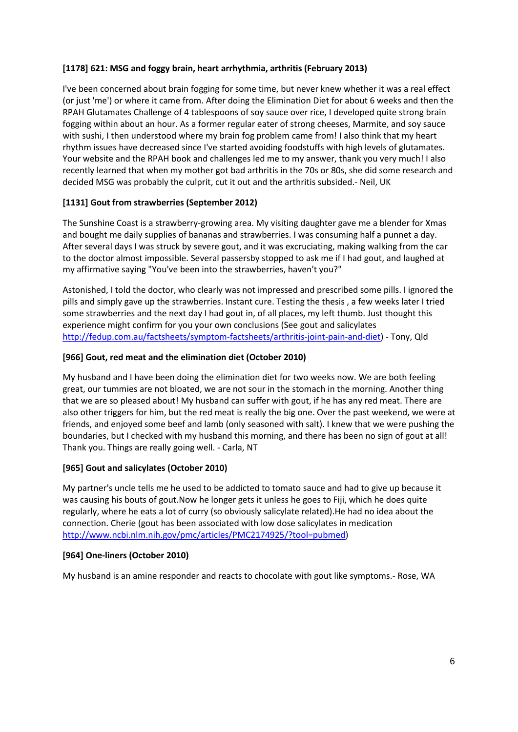## **[1178] 621: MSG and foggy brain, heart arrhythmia, arthritis (February 2013)**

I've been concerned about brain fogging for some time, but never knew whether it was a real effect (or just 'me') or where it came from. After doing the Elimination Diet for about 6 weeks and then the RPAH Glutamates Challenge of 4 tablespoons of soy sauce over rice, I developed quite strong brain fogging within about an hour. As a former regular eater of strong cheeses, Marmite, and soy sauce with sushi, I then understood where my brain fog problem came from! I also think that my heart rhythm issues have decreased since I've started avoiding foodstuffs with high levels of glutamates. Your website and the RPAH book and challenges led me to my answer, thank you very much! I also recently learned that when my mother got bad arthritis in the 70s or 80s, she did some research and decided MSG was probably the culprit, cut it out and the arthritis subsided.- Neil, UK

## **[1131] Gout from strawberries (September 2012)**

The Sunshine Coast is a strawberry-growing area. My visiting daughter gave me a blender for Xmas and bought me daily supplies of bananas and strawberries. I was consuming half a punnet a day. After several days I was struck by severe gout, and it was excruciating, making walking from the car to the doctor almost impossible. Several passersby stopped to ask me if I had gout, and laughed at my affirmative saying "You've been into the strawberries, haven't you?"

Astonished, I told the doctor, who clearly was not impressed and prescribed some pills. I ignored the pills and simply gave up the strawberries. Instant cure. Testing the thesis , a few weeks later I tried some strawberries and the next day I had gout in, of all places, my left thumb. Just thought this experience might confirm for you your own conclusions (See gout and salicylates [http://fedup.com.au/factsheets/symptom-factsheets/arthritis-joint-pain-and-diet\)](http://fedup.com.au/factsheets/symptom-factsheets/arthritis-joint-pain-and-diet) - Tony, Qld

## **[966] Gout, red meat and the elimination diet (October 2010)**

My husband and I have been doing the elimination diet for two weeks now. We are both feeling great, our tummies are not bloated, we are not sour in the stomach in the morning. Another thing that we are so pleased about! My husband can suffer with gout, if he has any red meat. There are also other triggers for him, but the red meat is really the big one. Over the past weekend, we were at friends, and enjoyed some beef and lamb (only seasoned with salt). I knew that we were pushing the boundaries, but I checked with my husband this morning, and there has been no sign of gout at all! Thank you. Things are really going well. - Carla, NT

## **[965] Gout and salicylates (October 2010)**

My partner's uncle tells me he used to be addicted to tomato sauce and had to give up because it was causing his bouts of gout.Now he longer gets it unless he goes to Fiji, which he does quite regularly, where he eats a lot of curry (so obviously salicylate related).He had no idea about the connection. Cherie (gout has been associated with low dose salicylates in medication [http://www.ncbi.nlm.nih.gov/pmc/articles/PMC2174925/?tool=pubmed\)](http://www.ncbi.nlm.nih.gov/pmc/articles/PMC2174925/?tool=pubmed)

#### **[964] One-liners (October 2010)**

My husband is an amine responder and reacts to chocolate with gout like symptoms.- Rose, WA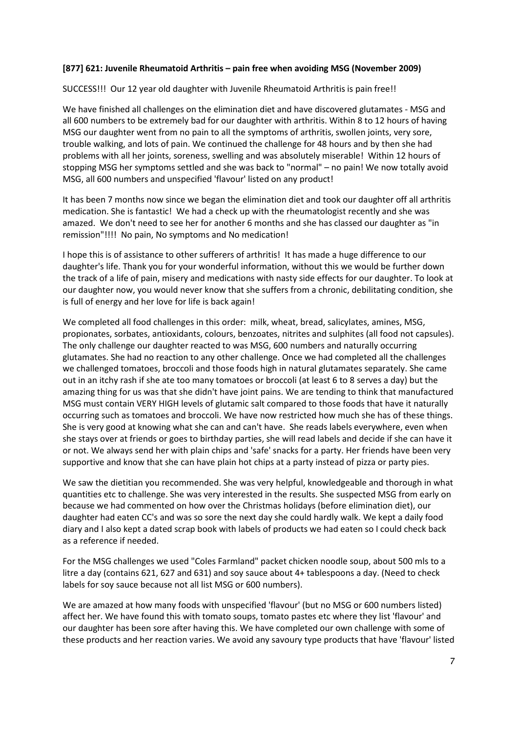#### **[877] 621: Juvenile Rheumatoid Arthritis – pain free when avoiding MSG (November 2009)**

SUCCESS!!! Our 12 year old daughter with Juvenile Rheumatoid Arthritis is pain free!!

We have finished all challenges on the elimination diet and have discovered glutamates - MSG and all 600 numbers to be extremely bad for our daughter with arthritis. Within 8 to 12 hours of having MSG our daughter went from no pain to all the symptoms of arthritis, swollen joints, very sore, trouble walking, and lots of pain. We continued the challenge for 48 hours and by then she had problems with all her joints, soreness, swelling and was absolutely miserable! Within 12 hours of stopping MSG her symptoms settled and she was back to "normal" – no pain! We now totally avoid MSG, all 600 numbers and unspecified 'flavour' listed on any product!

It has been 7 months now since we began the elimination diet and took our daughter off all arthritis medication. She is fantastic! We had a check up with the rheumatologist recently and she was amazed. We don't need to see her for another 6 months and she has classed our daughter as "in remission"!!!! No pain, No symptoms and No medication!

I hope this is of assistance to other sufferers of arthritis! It has made a huge difference to our daughter's life. Thank you for your wonderful information, without this we would be further down the track of a life of pain, misery and medications with nasty side effects for our daughter. To look at our daughter now, you would never know that she suffers from a chronic, debilitating condition, she is full of energy and her love for life is back again!

We completed all food challenges in this order: milk, wheat, bread, salicylates, amines, MSG, propionates, sorbates, antioxidants, colours, benzoates, nitrites and sulphites (all food not capsules). The only challenge our daughter reacted to was MSG, 600 numbers and naturally occurring glutamates. She had no reaction to any other challenge. Once we had completed all the challenges we challenged tomatoes, broccoli and those foods high in natural glutamates separately. She came out in an itchy rash if she ate too many tomatoes or broccoli (at least 6 to 8 serves a day) but the amazing thing for us was that she didn't have joint pains. We are tending to think that manufactured MSG must contain VERY HIGH levels of glutamic salt compared to those foods that have it naturally occurring such as tomatoes and broccoli. We have now restricted how much she has of these things. She is very good at knowing what she can and can't have. She reads labels everywhere, even when she stays over at friends or goes to birthday parties, she will read labels and decide if she can have it or not. We always send her with plain chips and 'safe' snacks for a party. Her friends have been very supportive and know that she can have plain hot chips at a party instead of pizza or party pies.

We saw the dietitian you recommended. She was very helpful, knowledgeable and thorough in what quantities etc to challenge. She was very interested in the results. She suspected MSG from early on because we had commented on how over the Christmas holidays (before elimination diet), our daughter had eaten CC's and was so sore the next day she could hardly walk. We kept a daily food diary and I also kept a dated scrap book with labels of products we had eaten so I could check back as a reference if needed.

For the MSG challenges we used "Coles Farmland" packet chicken noodle soup, about 500 mls to a litre a day (contains 621, 627 and 631) and soy sauce about 4+ tablespoons a day. (Need to check labels for soy sauce because not all list MSG or 600 numbers).

We are amazed at how many foods with unspecified 'flavour' (but no MSG or 600 numbers listed) affect her. We have found this with tomato soups, tomato pastes etc where they list 'flavour' and our daughter has been sore after having this. We have completed our own challenge with some of these products and her reaction varies. We avoid any savoury type products that have 'flavour' listed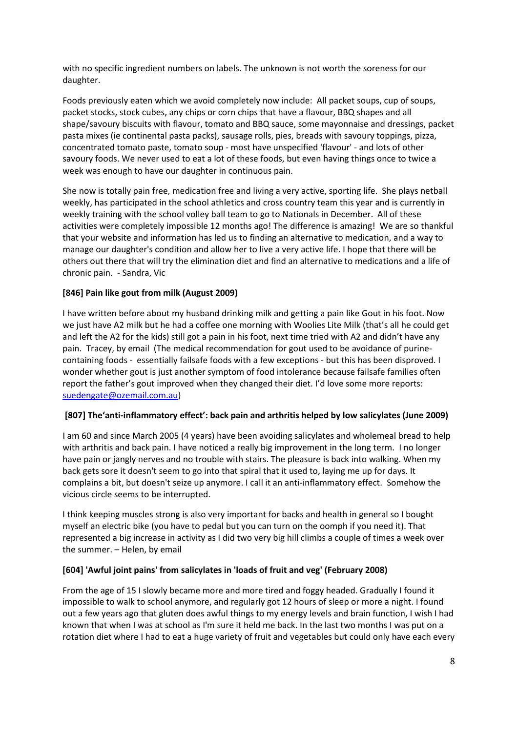with no specific ingredient numbers on labels. The unknown is not worth the soreness for our daughter.

Foods previously eaten which we avoid completely now include: All packet soups, cup of soups, packet stocks, stock cubes, any chips or corn chips that have a flavour, BBQ shapes and all shape/savoury biscuits with flavour, tomato and BBQ sauce, some mayonnaise and dressings, packet pasta mixes (ie continental pasta packs), sausage rolls, pies, breads with savoury toppings, pizza, concentrated tomato paste, tomato soup - most have unspecified 'flavour' - and lots of other savoury foods. We never used to eat a lot of these foods, but even having things once to twice a week was enough to have our daughter in continuous pain.

She now is totally pain free, medication free and living a very active, sporting life. She plays netball weekly, has participated in the school athletics and cross country team this year and is currently in weekly training with the school volley ball team to go to Nationals in December. All of these activities were completely impossible 12 months ago! The difference is amazing! We are so thankful that your website and information has led us to finding an alternative to medication, and a way to manage our daughter's condition and allow her to live a very active life. I hope that there will be others out there that will try the elimination diet and find an alternative to medications and a life of chronic pain. - Sandra, Vic

## **[846] Pain like gout from milk (August 2009)**

I have written before about my husband drinking milk and getting a pain like Gout in his foot. Now we just have A2 milk but he had a coffee one morning with Woolies Lite Milk (that's all he could get and left the A2 for the kids) still got a pain in his foot, next time tried with A2 and didn't have any pain. Tracey, by email (The medical recommendation for gout used to be avoidance of purinecontaining foods - essentially failsafe foods with a few exceptions - but this has been disproved. I wonder whether gout is just another symptom of food intolerance because failsafe families often report the father's gout improved when they changed their diet. I'd love some more reports: [suedengate@ozemail.com.au\)](mailto:suedengate@ozemail.com.au)

#### **[807] The'anti-inflammatory effect': back pain and arthritis helped by low salicylates (June 2009)**

I am 60 and since March 2005 (4 years) have been avoiding salicylates and wholemeal bread to help with arthritis and back pain. I have noticed a really big improvement in the long term. I no longer have pain or jangly nerves and no trouble with stairs. The pleasure is back into walking. When my back gets sore it doesn't seem to go into that spiral that it used to, laying me up for days. It complains a bit, but doesn't seize up anymore. I call it an anti-inflammatory effect. Somehow the vicious circle seems to be interrupted.

I think keeping muscles strong is also very important for backs and health in general so I bought myself an electric bike (you have to pedal but you can turn on the oomph if you need it). That represented a big increase in activity as I did two very big hill climbs a couple of times a week over the summer. – Helen, by email

#### **[604] 'Awful joint pains' from salicylates in 'loads of fruit and veg' (February 2008)**

From the age of 15 I slowly became more and more tired and foggy headed. Gradually I found it impossible to walk to school anymore, and regularly got 12 hours of sleep or more a night. I found out a few years ago that gluten does awful things to my energy levels and brain function, I wish I had known that when I was at school as I'm sure it held me back. In the last two months I was put on a rotation diet where I had to eat a huge variety of fruit and vegetables but could only have each every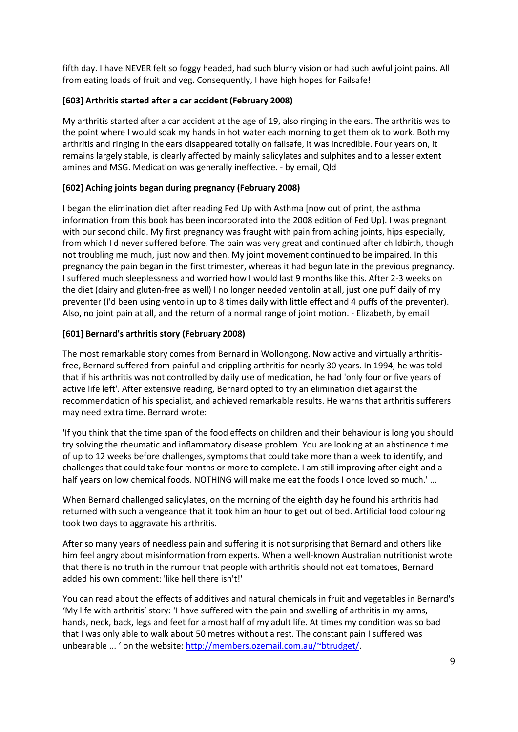fifth day. I have NEVER felt so foggy headed, had such blurry vision or had such awful joint pains. All from eating loads of fruit and veg. Consequently, I have high hopes for Failsafe!

## **[603] Arthritis started after a car accident (February 2008)**

My arthritis started after a car accident at the age of 19, also ringing in the ears. The arthritis was to the point where I would soak my hands in hot water each morning to get them ok to work. Both my arthritis and ringing in the ears disappeared totally on failsafe, it was incredible. Four years on, it remains largely stable, is clearly affected by mainly salicylates and sulphites and to a lesser extent amines and MSG. Medication was generally ineffective. - by email, Qld

# **[602] Aching joints began during pregnancy (February 2008)**

I began the elimination diet after reading Fed Up with Asthma [now out of print, the asthma information from this book has been incorporated into the 2008 edition of Fed Up]. I was pregnant with our second child. My first pregnancy was fraught with pain from aching joints, hips especially, from which I d never suffered before. The pain was very great and continued after childbirth, though not troubling me much, just now and then. My joint movement continued to be impaired. In this pregnancy the pain began in the first trimester, whereas it had begun late in the previous pregnancy. I suffered much sleeplessness and worried how I would last 9 months like this. After 2-3 weeks on the diet (dairy and gluten-free as well) I no longer needed ventolin at all, just one puff daily of my preventer (I'd been using ventolin up to 8 times daily with little effect and 4 puffs of the preventer). Also, no joint pain at all, and the return of a normal range of joint motion. - Elizabeth, by email

# **[601] Bernard's arthritis story (February 2008)**

The most remarkable story comes from Bernard in Wollongong. Now active and virtually arthritisfree, Bernard suffered from painful and crippling arthritis for nearly 30 years. In 1994, he was told that if his arthritis was not controlled by daily use of medication, he had 'only four or five years of active life left'. After extensive reading, Bernard opted to try an elimination diet against the recommendation of his specialist, and achieved remarkable results. He warns that arthritis sufferers may need extra time. Bernard wrote:

'If you think that the time span of the food effects on children and their behaviour is long you should try solving the rheumatic and inflammatory disease problem. You are looking at an abstinence time of up to 12 weeks before challenges, symptoms that could take more than a week to identify, and challenges that could take four months or more to complete. I am still improving after eight and a half years on low chemical foods. NOTHING will make me eat the foods I once loved so much.' ...

When Bernard challenged salicylates, on the morning of the eighth day he found his arthritis had returned with such a vengeance that it took him an hour to get out of bed. Artificial food colouring took two days to aggravate his arthritis.

After so many years of needless pain and suffering it is not surprising that Bernard and others like him feel angry about misinformation from experts. When a well-known Australian nutritionist wrote that there is no truth in the rumour that people with arthritis should not eat tomatoes, Bernard added his own comment: 'like hell there isn't!'

You can read about the effects of additives and natural chemicals in fruit and vegetables in Bernard's 'My life with arthritis' story: 'I have suffered with the pain and swelling of arthritis in my arms, hands, neck, back, legs and feet for almost half of my adult life. At times my condition was so bad that I was only able to walk about 50 metres without a rest. The constant pain I suffered was unbearable ... ' on the website[: http://members.ozemail.com.au/~btrudget/.](http://members.ozemail.com.au/~btrudget/)